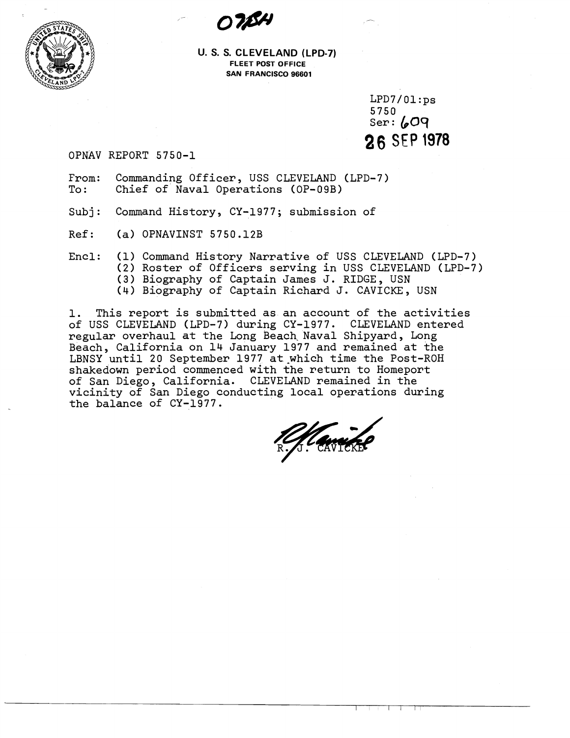



**U. S. S. CLEVELAND (LPD-7) FLEET POST OFFICE SAN FRANCISCO 96601** 

> $LPD7/01:ps$ 5750  $Ser: 609$ **26** SEP **1978**

OPNAV REPORT 5750-1

- From: Commanding Officer, USS CLEVELAND (LPD-7)<br>To: Chief of Naval Operations (OP-09B) Chief of Naval Operations (OP-09B)
- Subj: Command History, CY-1977; submission of
- Ref: (a) OPNAVINST 5750.12B
- Encl: (1) Command History Narrative of USS CLEVELAND (LPD-7) (2) Roster of Officers serving in USS CLEVELAND (LPD-7) **(3)** Biography of Captain James J. RIDGE, USN (4) Biography of Captain Richard J. CAVICKE, USN

1. This report is submitted as an account of the activities of USS CLEVELAND (LPD-7) during CY-1977. CLEVELAND entered regular overhaul at the Long Beach. Naval Shipyard, Long Beach, California on 14 January 1977 and remained at the LBNSY until 20 September 1977 at-which time the Post-ROH shakedown period commenced with the return to Homeport of San Diego, California. CLEVELAND remained in the vicinity of San Diego conducting local operations during the balance of CY-1977.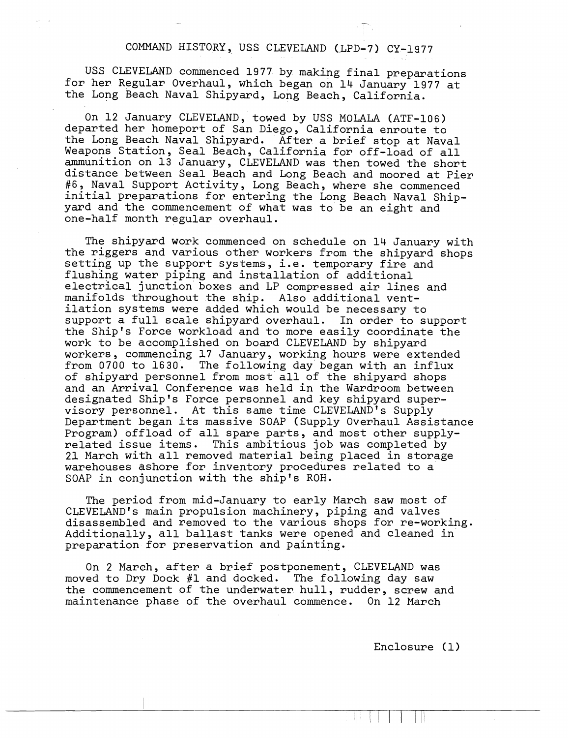## COMMAND HISTORY, USS CLEVELAND UPD-7) CY-1977

USS CLEVELAND commenced 1977 by making final preparations for her Regular Overhaul, which began on 14 January 1977 at the Long Beach Naval Shipyard, Long Beach, California.

On 12 January CLEVELAND, towed by USS MOLALA (ATF-106) departed her homeport of San Diego, California enroute to the Long Beach Naval Shipyard. After a brief stop at Naval Weapons Station, Seal Beach, California for off-load of all ammunition on 13 January, CLEVELAND was then towed the short distance between Seal Beach and Long Beach and moored at Pier **#6,** Naval Support Activity, Long Beach, where she commenced initial preparations for entering the Long Beach Naval Shipyard and the commencement of what was to be an eight and one-half month regular overhaul.

The shipyard work commenced on schedule on 14 January with the riggers and various other workers from the shipyard shops setting up the support systems, i.e. temporary fire and flushing water piping and installation of additional electrical junction boxes and LP compressed air lines and manifolds throughout the ship. Also additional ventilation systems were added which would be necessary to support a full scale shipyard overhaul. In order to support the Ship's Force workload and to more easily coordinate the work to be accomplished on board CLEVELAND by shipyard workers, commencing 17 January, working hours were extended from 0700 to 1630. The following day began with an influx of shipyard personnel from most all of the shipyard shops and an Arrival Conference was held in the Wardroom between designated Ship's Force personnel and key shipyard supervisory personnel. At this same time CLEVELAND'S Supply Department began its massive SOAP (Supply Overhaul Assistance Program) offload of all spare parts, and most other supplyrelated issue items. This ambitious job was completed by 21 March with all removed material being placed in storage warehouses ashore for inventory procedures related to a SOAP in conjunction with the ship's ROH.

The period from mid-January to early March saw most of CLEVELAND'S main propulsion machinery, piping and valves disassembled and removed to the various shops for re-working. Additionally, all ballast tanks were opened and cleaned in preparation for preservation and painting.

On 2 March, after a brief postponement, CLEVELAND was moved to Dry Dock #1 and docked. The following day saw the commencement of the underwater hull, rudder, screw and maintenance phase of the overhaul commence. On 12 March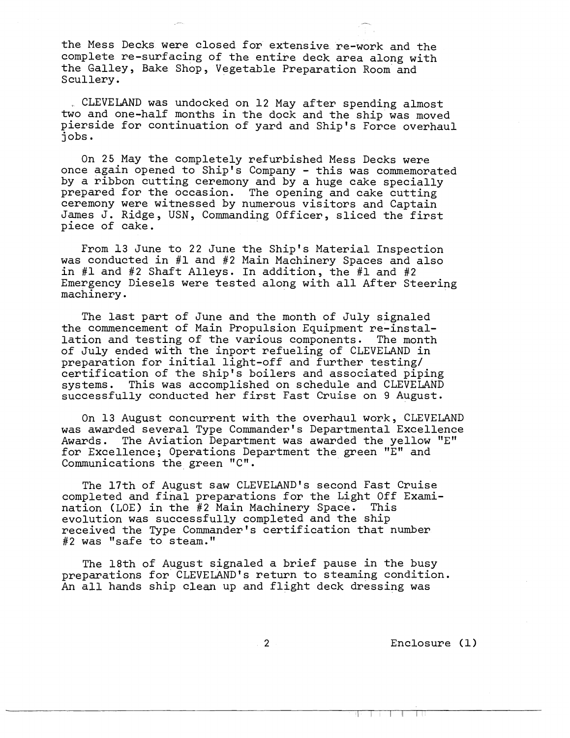the Mess Decks were closed for extensive re-work and the complete re-surfacing of the entire deck area along with the Galley, Bake Shop, Vegetable Preparation Room and Scullery.

CLEVELAND was undocked on 12 May after spending almost two and one-half months in the dock and the ship was moved pierside for continuation of yard and Ship's Force overhaul jobs.

On 25 May the completely refurbished Mess Decks were once again opened to Ship's Company - this was commemorated by a ribbon cutting ceremony and by a huge cake specially prepared for the occasion. The opening and cake cutting ceremony were witnessed by numerous visitors and Captain James J. Ridge, USN, Commanding Officer, sliced the first piece of cake.

From 13 June to 22 June the Ship's Material Inspection was conducted in #1 and #2 Main Machinery Spaces and also in **#1** and #2 Shaft Alleys. In addition, the #1 and #2 Emergency Diesels were tested along with all After Steering machinery.

The last part of June and the month of July signaled the commencement of Main Propulsion Equipment re-installation and testing of the various components. The month of July ended with the inport refueling of CLEVELAND in preparation for initial light-off and further testing/ certification of the ship's boilers and associated piping systems. This was accomplished on schedule and CLEVELAND successfully conducted her first Fast Cruise on 9 August.

On 13 August concurrent with the overhaul work, CLEVELAND was awarded several Type Commander's Departmental Excellence Awards. The Aviation Department was awarded the yellow "E" for Excellence; Operations Department the green "E" and Communications the green "C" .

The 17th of August saw CLEVELAND'S second Fast Cruise completed and final preparations for the Light Off Examination (LOE) in the  $#2$  Main Machinery Space. evolution was successfully completed and the ship received the Type Commander's certification that number #2 was "safe to steam."

The 18th of August signaled a brief pause in the busy preparations for CLEVELAND's return to steaming condition. An all hands ship clean up and flight deck dressing was

Enclosure (1)

and the state of the state of the state of the state of the state of the state of the state of the state of the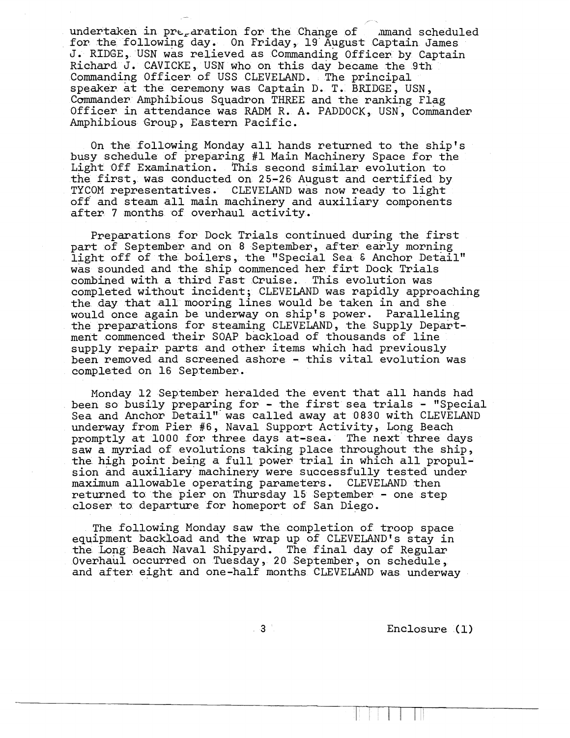undertaken in pre-aration for the Change of mmand scheduled for the following day. On Friday, 19'August Captain James J. RIDGE, USN was relieved as commanding Officer by Captain Richard J. CAVICKE, USN who on this day became the 9th Commanding Officer of USS CLEVELAND. The principal speaker at the ceremony was Captain D. T. BRIDGE, USN , Commander Amphibious Squadron THREE and the ranking Flag Officer in attendance was RADM R. A. PADDOCK, USN, Commander Amphibious Group, Eastern Pacific.

**F** 

On the following Monday all hands returned to the ship's busy schedule of preparing #1 Main Machinery Space for the Light Off Examination. This second similar evolution to the first, was conducted on 25-26 August and certified by TYCOM representatives. CLEVELAND was now ready to light off and steam all main machinery and auxiliary components after 7 months of overhaul activity,

Preparations for Dock Trials continued during the first part of September and on 8 September, after early morning light off of the boilers, the "Special Sea & Anchor Detail" was sounded and the ship commenced her firt Dock Trials combined with a third Fast Cruise. This evolution was completed without incident; CLEVELAND was rapidly approaching the day that all mooring lines would be taken in and she would once again be underway on ship's power. Paralleling the preparations for steaming CLEVELAND, the Supply Department commenced their SOAP backload of thousands of line supply repair parts and other items which had previously been removed and screened ashore - this vital evolution was completed on 16 September.

Monday 12 September heralded the event that all hands had been so busily preparing for - the first sea trials - "Special Sea and Anchor Detail" was called away at 0830 with CLEVELAND underway from Pier #6, Naval Support Activity, Long Beach promptly at 1000 for three days at-sea. The next three days saw a myriad of evolutions taking place throughout the ship, the high point being a full power trial in which all propulsion and auxiliary'machinery were successfully tested under maximum allowable operating parameters. CLEVELAND then returned to the pier on Thursday 15 September - one step closer to departure for homeport of San Diego.

The following Monday saw the completion of troop space equipment backioad and the wrap up of CLEVELAND'S stay in the Long Beach Naval Shipyard, The final day of Regular overhaul occurred on Tuesday, 20 September, on schedule, and after eight and one-half months CLEVELAND was underway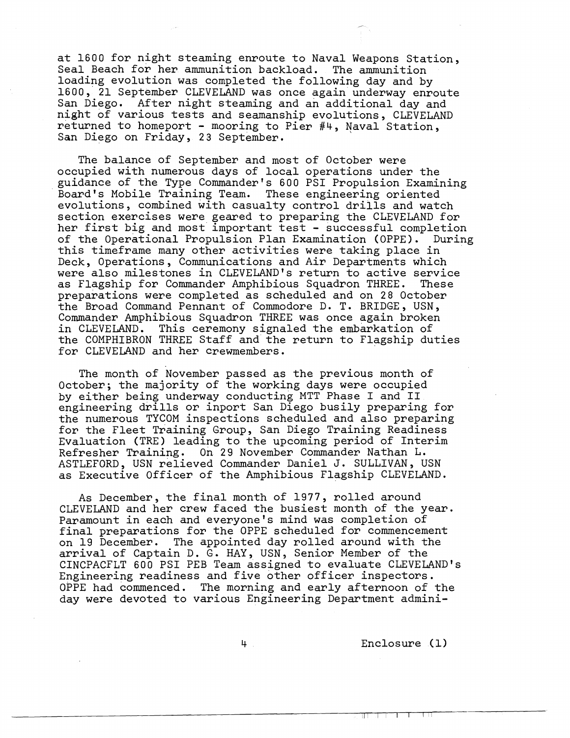at 1600 for night steaming enroute to Naval Weapons Station, Seal Beach for her ammunition backload. The ammunition loading evolution was completed the following day and by 1600, 21 September CLEVELAND was once again underway enroute San Diego. After night steaming and an additional day and night of various tests and seamanship evolutions, CLEVELAND returned to homeport - mooring to Pier #4, Naval Station, San Diego on Friday, 23 September.

The balance of September and most of October were occupied with numerous days of local operations under the guidance of the Type Commander's 600 PSI Propulsion Examining Board's Mobile Training Team. These engineering oriented evolutions, combined with casualty control drills and watch section exercises were geared to preparing the CLEVELAND for her first big and most important test - successful completion of the Operational Propulsion Plan Examination (OPPE). During this timeframe many other activities were taking place in Deck, Operations, Communications and Air Departments which were also milestones in CLEVELAND'S return to active service as Flagship for Commander Amphibious Squadron THREE. These preparations were completed as scheduled and on 28 October the Broad Command Pennant of Commodore D. T. BRIDGE, USN, Commander Amphibious Squadron THREE was once again broken<br>in CLEVELAND. This ceremony signaled the embarkation of This ceremony signaled the embarkation of the COMPHIBRON THREE Staff and the return to Flagship duties for CLEVELAND and her crewmembers.

The month of November passed as the previous month of October; the majority of the working days were occupied by either being underway conducting MTT Phase I and **I1**  engineering drills or inport San Diego busily preparing for the numerous TYCOM inspections scheduled and also preparing for the Fleet Training Group, San Diego Training Readiness Evaluation (TRE) leading to the upcoming period of Interim Refresher Training. On 29 November Commander Nathan L. ASTLEFORD, USN relieved Commander Daniel J. SULLIVAN, USN as Executive Officer of the Amphibious Flagship CLEVELAND.

As December, the final month of 1977, rolled around CLEVELAND and her crew faced the busiest month of the year. Paramount in each and everyone's mind was completion of final preparations for the OPPE scheduled for commencement on 19 December. The appointed day rolled around with the arrival of Captain D. G. HAY, USN, Senior Member of the CINCPACFLT 600 PSI PEB Team assigned to evaluate CLEVELAND'S Engineering readiness and five other officer inspectors. OPPE had commenced. The morning and early afternoon of the day were devoted to various Engineering Department admini-